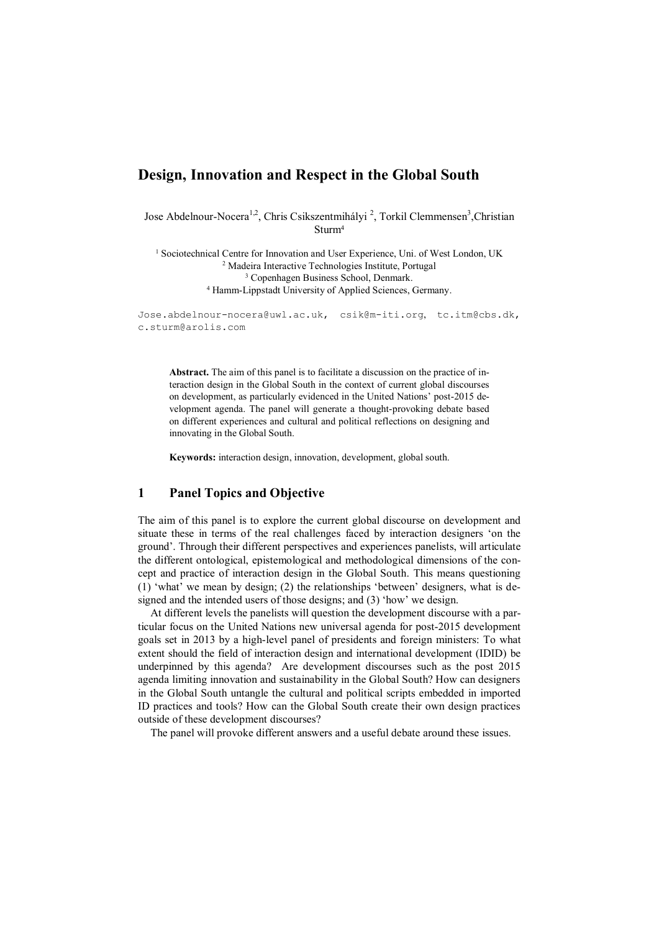# **Design, Innovation and Respect in the Global South**

Jose Abdelnour-Nocera<sup>1,2</sup>, Chris Csikszentmihályi<sup>2</sup>, Torkil Clemmensen<sup>3</sup>, Christian Sturm<sup>4</sup>

<sup>1</sup> Sociotechnical Centre for Innovation and User Experience, Uni. of West London, UK Madeira Interactive Technologies Institute, Portugal Copenhagen Business School, Denmark. Hamm-Lippstadt University of Applied Sciences, Germany.

[Jose.abdelnour-nocera@uwl.ac.uk,](mailto:Jose.abdelnour-nocera@uwl.ac.uk) csik@m-iti.org, [tc.itm@cbs.dk,](mailto:tc.itm@cbs.dk) c.sturm@arolis.com

**Abstract.** The aim of this panel is to facilitate a discussion on the practice of interaction design in the Global South in the context of current global discourses on development, as particularly evidenced in the United Nations' post-2015 development agenda. The panel will generate a thought-provoking debate based on different experiences and cultural and political reflections on designing and innovating in the Global South.

**Keywords:** interaction design, innovation, development, global south.

## **1 Panel Topics and Objective**

The aim of this panel is to explore the current global discourse on development and situate these in terms of the real challenges faced by interaction designers 'on the ground'. Through their different perspectives and experiences panelists, will articulate the different ontological, epistemological and methodological dimensions of the concept and practice of interaction design in the Global South. This means questioning (1) 'what' we mean by design; (2) the relationships 'between' designers, what is designed and the intended users of those designs; and (3) 'how' we design.

At different levels the panelists will question the development discourse with a particular focus on the United Nations new universal agenda for post-2015 development goals set in 2013 by a high-level panel of presidents and foreign ministers: To what extent should the field of interaction design and international development (IDID) be underpinned by this agenda? Are development discourses such as the post 2015 agenda limiting innovation and sustainability in the Global South? How can designers in the Global South untangle the cultural and political scripts embedded in imported ID practices and tools? How can the Global South create their own design practices outside of these development discourses?

The panel will provoke different answers and a useful debate around these issues.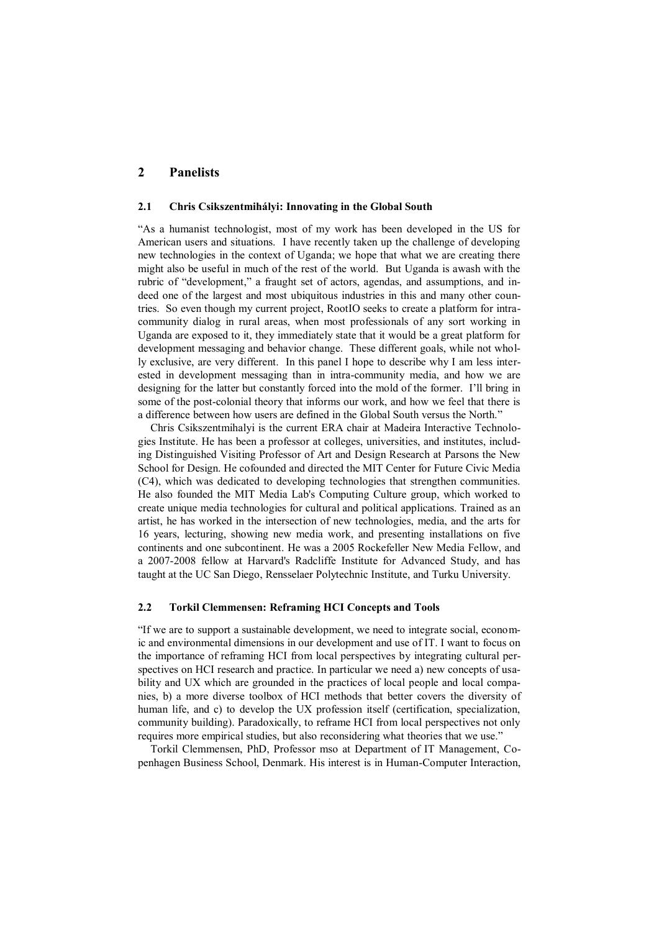## **2 Panelists**

#### **2.1 Chris Csikszentmihályi: Innovating in the Global South**

"As a humanist technologist, most of my work has been developed in the US for American users and situations. I have recently taken up the challenge of developing new technologies in the context of Uganda; we hope that what we are creating there might also be useful in much of the rest of the world. But Uganda is awash with the rubric of "development," a fraught set of actors, agendas, and assumptions, and indeed one of the largest and most ubiquitous industries in this and many other countries. So even though my current project, RootIO seeks to create a platform for intracommunity dialog in rural areas, when most professionals of any sort working in Uganda are exposed to it, they immediately state that it would be a great platform for development messaging and behavior change. These different goals, while not wholly exclusive, are very different. In this panel I hope to describe why I am less interested in development messaging than in intra-community media, and how we are designing for the latter but constantly forced into the mold of the former. I'll bring in some of the post-colonial theory that informs our work, and how we feel that there is a difference between how users are defined in the Global South versus the North."

Chris Csikszentmihalyi is the current ERA chair at Madeira Interactive Technologies Institute. He has been a professor at colleges, universities, and institutes, including Distinguished Visiting Professor of Art and Design Research at Parsons the New School for Design. He cofounded and directed the MIT Center for Future Civic Media (C4), which was dedicated to developing technologies that strengthen communities. He also founded the MIT Media Lab's Computing Culture group, which worked to create unique media technologies for cultural and political applications. Trained as an artist, he has worked in the intersection of new technologies, media, and the arts for 16 years, lecturing, showing new media work, and presenting installations on five continents and one subcontinent. He was a 2005 Rockefeller New Media Fellow, and a 2007-2008 fellow at Harvard's Radcliffe Institute for Advanced Study, and has taught at the UC San Diego, Rensselaer Polytechnic Institute, and Turku University.

#### **2.2 Torkil Clemmensen: Reframing HCI Concepts and Tools**

"If we are to support a sustainable development, we need to integrate social, economic and environmental dimensions in our development and use of IT. I want to focus on the importance of reframing HCI from local perspectives by integrating cultural perspectives on HCI research and practice. In particular we need a) new concepts of usability and UX which are grounded in the practices of local people and local companies, b) a more diverse toolbox of HCI methods that better covers the diversity of human life, and c) to develop the UX profession itself (certification, specialization, community building). Paradoxically, to reframe HCI from local perspectives not only requires more empirical studies, but also reconsidering what theories that we use."

Torkil Clemmensen, PhD, Professor mso at Department of IT Management, Copenhagen Business School, Denmark. His interest is in Human-Computer Interaction,